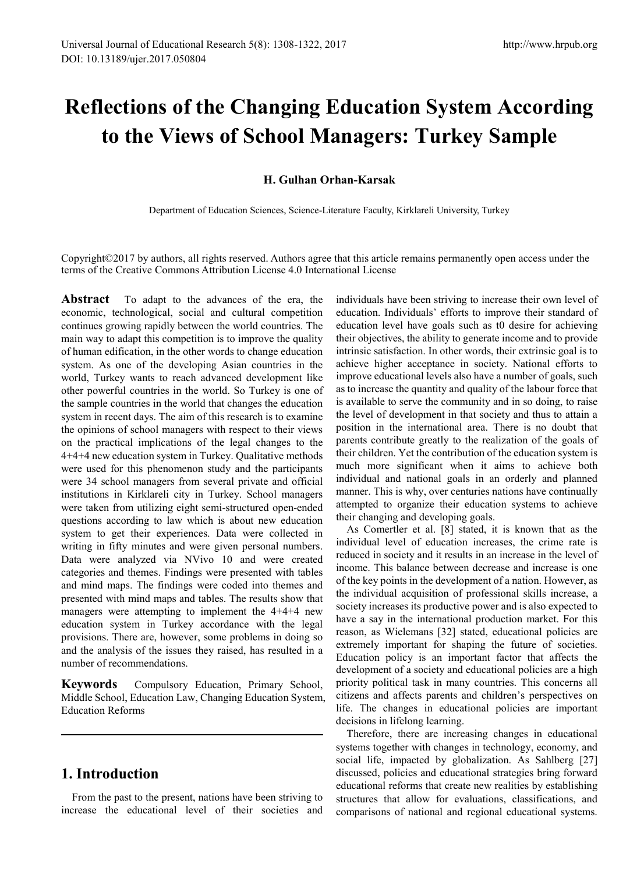# **Reflections of the Changing Education System According to the Views of School Managers: Turkey Sample**

### **H. Gulhan Orhan-Karsak**

Department of Education Sciences, Science-Literature Faculty, Kirklareli University, Turkey

Copyright©2017 by authors, all rights reserved. Authors agree that this article remains permanently open access under the terms of the Creative Commons Attribution License 4.0 International License

**Abstract** To adapt to the advances of the era, the economic, technological, social and cultural competition continues growing rapidly between the world countries. The main way to adapt this competition is to improve the quality of human edification, in the other words to change education system. As one of the developing Asian countries in the world, Turkey wants to reach advanced development like other powerful countries in the world. So Turkey is one of the sample countries in the world that changes the education system in recent days. The aim of this research is to examine the opinions of school managers with respect to their views on the practical implications of the legal changes to the 4+4+4 new education system in Turkey. Qualitative methods were used for this phenomenon study and the participants were 34 school managers from several private and official institutions in Kirklareli city in Turkey. School managers were taken from utilizing eight semi-structured open-ended questions according to law which is about new education system to get their experiences. Data were collected in writing in fifty minutes and were given personal numbers. Data were analyzed via NVivo 10 and were created categories and themes. Findings were presented with tables and mind maps. The findings were coded into themes and presented with mind maps and tables. The results show that managers were attempting to implement the 4+4+4 new education system in Turkey accordance with the legal provisions. There are, however, some problems in doing so and the analysis of the issues they raised, has resulted in a number of recommendations.

**Keywords** Compulsory Education, Primary School, Middle School, Education Law, Changing Education System, Education Reforms

# **1. Introduction**

From the past to the present, nations have been striving to increase the educational level of their societies and

individuals have been striving to increase their own level of education. Individuals' efforts to improve their standard of education level have goals such as t0 desire for achieving their objectives, the ability to generate income and to provide intrinsic satisfaction. In other words, their extrinsic goal is to achieve higher acceptance in society. National efforts to improve educational levels also have a number of goals, such as to increase the quantity and quality of the labour force that is available to serve the community and in so doing, to raise the level of development in that society and thus to attain a position in the international area. There is no doubt that parents contribute greatly to the realization of the goals of their children. Yet the contribution of the education system is much more significant when it aims to achieve both individual and national goals in an orderly and planned manner. This is why, over centuries nations have continually attempted to organize their education systems to achieve their changing and developing goals.

As Comertler et al. [8] stated, it is known that as the individual level of education increases, the crime rate is reduced in society and it results in an increase in the level of income. This balance between decrease and increase is one of the key points in the development of a nation. However, as the individual acquisition of professional skills increase, a society increases its productive power and is also expected to have a say in the international production market. For this reason, as Wielemans [32] stated, educational policies are extremely important for shaping the future of societies. Education policy is an important factor that affects the development of a society and educational policies are a high priority political task in many countries. This concerns all citizens and affects parents and children's perspectives on life. The changes in educational policies are important decisions in lifelong learning.

Therefore, there are increasing changes in educational systems together with changes in technology, economy, and social life, impacted by globalization. As Sahlberg [27] discussed, policies and educational strategies bring forward educational reforms that create new realities by establishing structures that allow for evaluations, classifications, and comparisons of national and regional educational systems.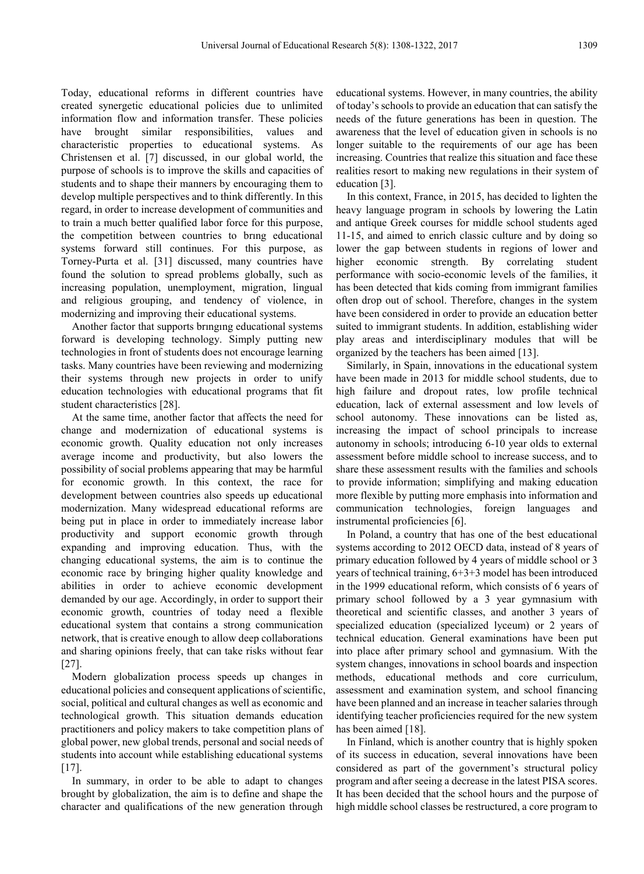Today, educational reforms in different countries have created synergetic educational policies due to unlimited information flow and information transfer. These policies have brought similar responsibilities, values and characteristic properties to educational systems. As Christensen et al. [7] discussed, in our global world, the purpose of schools is to improve the skills and capacities of students and to shape their manners by encouraging them to develop multiple perspectives and to think differently. In this regard, in order to increase development of communities and to train a much better qualified labor force for this purpose, the competition between countries to brıng educational systems forward still continues. For this purpose, as Torney-Purta et al. [31] discussed, many countries have found the solution to spread problems globally, such as increasing population, unemployment, migration, lingual and religious grouping, and tendency of violence, in modernizing and improving their educational systems.

Another factor that supports brıngıng educational systems forward is developing technology. Simply putting new technologies in front of students does not encourage learning tasks. Many countries have been reviewing and modernizing their systems through new projects in order to unify education technologies with educational programs that fit student characteristics [28].

At the same time, another factor that affects the need for change and modernization of educational systems is economic growth. Quality education not only increases average income and productivity, but also lowers the possibility of social problems appearing that may be harmful for economic growth. In this context, the race for development between countries also speeds up educational modernization. Many widespread educational reforms are being put in place in order to immediately increase labor productivity and support economic growth through expanding and improving education. Thus, with the changing educational systems, the aim is to continue the economic race by bringing higher quality knowledge and abilities in order to achieve economic development demanded by our age. Accordingly, in order to support their economic growth, countries of today need a flexible educational system that contains a strong communication network, that is creative enough to allow deep collaborations and sharing opinions freely, that can take risks without fear [27].

Modern globalization process speeds up changes in educational policies and consequent applications of scientific, social, political and cultural changes as well as economic and technological growth. This situation demands education practitioners and policy makers to take competition plans of global power, new global trends, personal and social needs of students into account while establishing educational systems  $[17]$ .

In summary, in order to be able to adapt to changes brought by globalization, the aim is to define and shape the character and qualifications of the new generation through educational systems. However, in many countries, the ability of today's schools to provide an education that can satisfy the needs of the future generations has been in question. The awareness that the level of education given in schools is no longer suitable to the requirements of our age has been increasing. Countries that realize this situation and face these realities resort to making new regulations in their system of education [3].

In this context, France, in 2015, has decided to lighten the heavy language program in schools by lowering the Latin and antique Greek courses for middle school students aged 11-15, and aimed to enrich classic culture and by doing so lower the gap between students in regions of lower and higher economic strength. By correlating student performance with socio-economic levels of the families, it has been detected that kids coming from immigrant families often drop out of school. Therefore, changes in the system have been considered in order to provide an education better suited to immigrant students. In addition, establishing wider play areas and interdisciplinary modules that will be organized by the teachers has been aimed [13].

Similarly, in Spain, innovations in the educational system have been made in 2013 for middle school students, due to high failure and dropout rates, low profile technical education, lack of external assessment and low levels of school autonomy. These innovations can be listed as, increasing the impact of school principals to increase autonomy in schools; introducing 6-10 year olds to external assessment before middle school to increase success, and to share these assessment results with the families and schools to provide information; simplifying and making education more flexible by putting more emphasis into information and communication technologies, foreign languages and instrumental proficiencies [6].

In Poland, a country that has one of the best educational systems according to 2012 OECD data, instead of 8 years of primary education followed by 4 years of middle school or 3 years of technical training, 6+3+3 model has been introduced in the 1999 educational reform, which consists of 6 years of primary school followed by a 3 year gymnasium with theoretical and scientific classes, and another 3 years of specialized education (specialized lyceum) or 2 years of technical education. General examinations have been put into place after primary school and gymnasium. With the system changes, innovations in school boards and inspection methods, educational methods and core curriculum, assessment and examination system, and school financing have been planned and an increase in teacher salaries through identifying teacher proficiencies required for the new system has been aimed [18].

In Finland, which is another country that is highly spoken of its success in education, several innovations have been considered as part of the government's structural policy program and after seeing a decrease in the latest PISA scores. It has been decided that the school hours and the purpose of high middle school classes be restructured, a core program to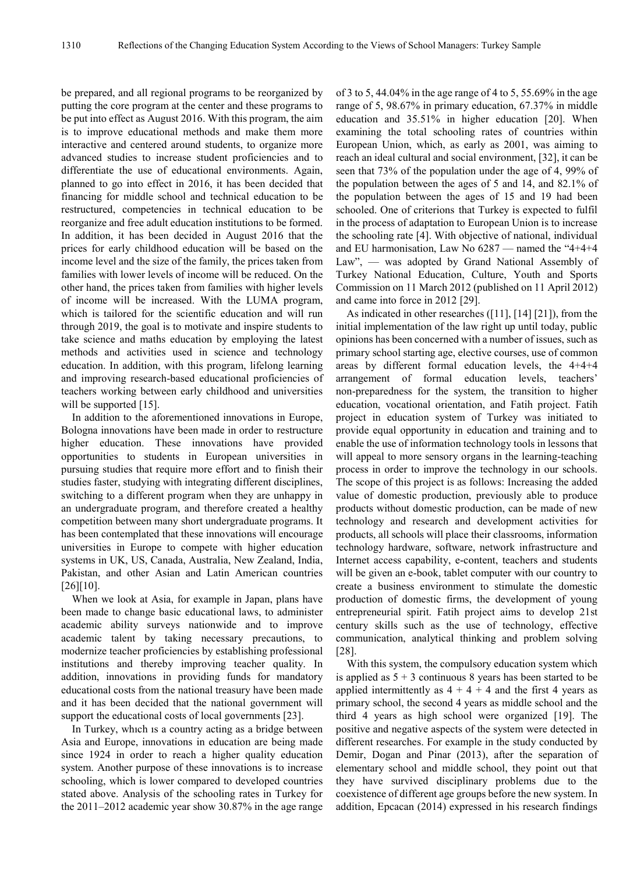be prepared, and all regional programs to be reorganized by putting the core program at the center and these programs to be put into effect as August 2016. With this program, the aim is to improve educational methods and make them more interactive and centered around students, to organize more advanced studies to increase student proficiencies and to differentiate the use of educational environments. Again, planned to go into effect in 2016, it has been decided that financing for middle school and technical education to be restructured, competencies in technical education to be reorganize and free adult education institutions to be formed. In addition, it has been decided in August 2016 that the prices for early childhood education will be based on the income level and the size of the family, the prices taken from families with lower levels of income will be reduced. On the other hand, the prices taken from families with higher levels of income will be increased. With the LUMA program, which is tailored for the scientific education and will run through 2019, the goal is to motivate and inspire students to take science and maths education by employing the latest methods and activities used in science and technology education. In addition, with this program, lifelong learning and improving research-based educational proficiencies of teachers working between early childhood and universities will be supported [15].

In addition to the aforementioned innovations in Europe, Bologna innovations have been made in order to restructure higher education. These innovations have provided opportunities to students in European universities in pursuing studies that require more effort and to finish their studies faster, studying with integrating different disciplines, switching to a different program when they are unhappy in an undergraduate program, and therefore created a healthy competition between many short undergraduate programs. It has been contemplated that these innovations will encourage universities in Europe to compete with higher education systems in UK, US, Canada, Australia, New Zealand, India, Pakistan, and other Asian and Latin American countries [26][10].

When we look at Asia, for example in Japan, plans have been made to change basic educational laws, to administer academic ability surveys nationwide and to improve academic talent by taking necessary precautions, to modernize teacher proficiencies by establishing professional institutions and thereby improving teacher quality. In addition, innovations in providing funds for mandatory educational costs from the national treasury have been made and it has been decided that the national government will support the educational costs of local governments [23].

In Turkey, whıch ıs a country acting as a bridge between Asia and Europe, innovations in education are being made since 1924 in order to reach a higher quality education system. Another purpose of these innovations is to increase schooling, which is lower compared to developed countries stated above. Analysis of the schooling rates in Turkey for the 2011–2012 academic year show 30.87% in the age range

of 3 to 5, 44.04% in the age range of 4 to 5, 55.69% in the age range of 5, 98.67% in primary education, 67.37% in middle education and 35.51% in higher education [20]. When examining the total schooling rates of countries within European Union, which, as early as 2001, was aiming to reach an ideal cultural and social environment, [32], it can be seen that 73% of the population under the age of 4, 99% of the population between the ages of 5 and 14, and 82.1% of the population between the ages of 15 and 19 had been schooled. One of criterions that Turkey is expected to fulfil in the process of adaptation to European Union is to increase the schooling rate [4]. With objective of national, individual and EU harmonisation, Law No 6287 — named the "4+4+4 Law", — was adopted by Grand National Assembly of Turkey National Education, Culture, Youth and Sports Commission on 11 March 2012 (published on 11 April 2012) and came into force in 2012 [29].

As indicated in other researches ([11], [14] [21]), from the initial implementation of the law right up until today, public opinions has been concerned with a number of issues, such as primary school starting age, elective courses, use of common areas by different formal education levels, the 4+4+4 arrangement of formal education levels, teachers' non-preparedness for the system, the transition to higher education, vocational orientation, and Fatih project. Fatih project in education system of Turkey was initiated to provide equal opportunity in education and training and to enable the use of information technology tools in lessons that will appeal to more sensory organs in the learning-teaching process in order to improve the technology in our schools. The scope of this project is as follows: Increasing the added value of domestic production, previously able to produce products without domestic production, can be made of new technology and research and development activities for products, all schools will place their classrooms, information technology hardware, software, network infrastructure and Internet access capability, e-content, teachers and students will be given an e-book, tablet computer with our country to create a business environment to stimulate the domestic production of domestic firms, the development of young entrepreneurial spirit. Fatih project aims to develop 21st century skills such as the use of technology, effective communication, analytical thinking and problem solving [28].

With this system, the compulsory education system which is applied as  $5 + 3$  continuous 8 years has been started to be applied intermittently as  $4 + 4 + 4$  and the first 4 years as primary school, the second 4 years as middle school and the third 4 years as high school were organized [19]. The positive and negative aspects of the system were detected in different researches. For example in the study conducted by Demir, Dogan and Pinar (2013), after the separation of elementary school and middle school, they point out that they have survived disciplinary problems due to the coexistence of different age groups before the new system. In addition, Epcacan (2014) expressed in his research findings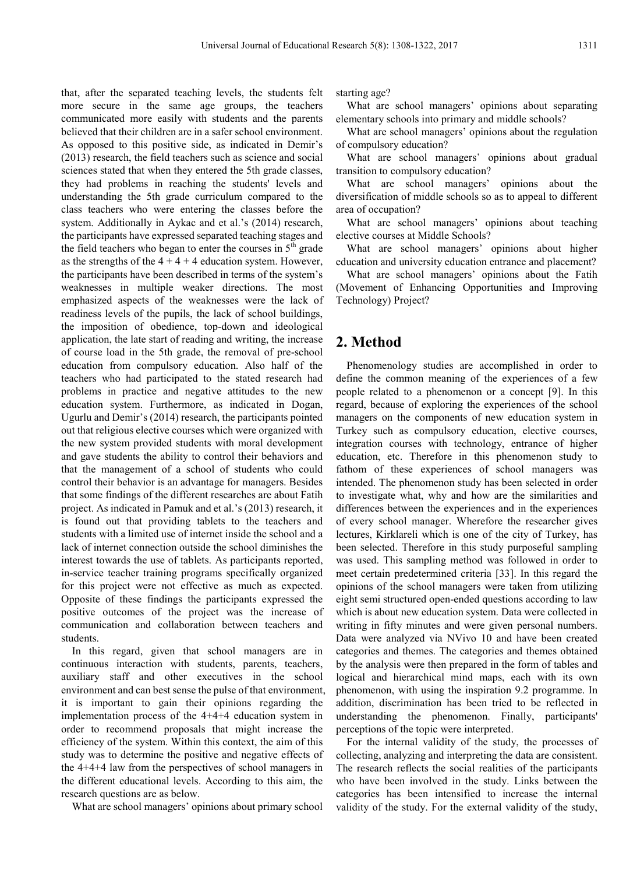that, after the separated teaching levels, the students felt more secure in the same age groups, the teachers communicated more easily with students and the parents believed that their children are in a safer school environment. As opposed to this positive side, as indicated in Demir's (2013) research, the field teachers such as science and social sciences stated that when they entered the 5th grade classes, they had problems in reaching the students' levels and understanding the 5th grade curriculum compared to the class teachers who were entering the classes before the system. Additionally in Aykac and et al.'s (2014) research, the participants have expressed separated teaching stages and the field teachers who began to enter the courses in  $5<sup>th</sup>$  grade as the strengths of the  $4 + 4 + 4$  education system. However, the participants have been described in terms of the system's weaknesses in multiple weaker directions. The most emphasized aspects of the weaknesses were the lack of readiness levels of the pupils, the lack of school buildings, the imposition of obedience, top-down and ideological application, the late start of reading and writing, the increase of course load in the 5th grade, the removal of pre-school education from compulsory education. Also half of the teachers who had participated to the stated research had problems in practice and negative attitudes to the new education system. Furthermore, as indicated in Dogan, Ugurlu and Demir's (2014) research, the participants pointed out that religious elective courses which were organized with the new system provided students with moral development and gave students the ability to control their behaviors and that the management of a school of students who could control their behavior is an advantage for managers. Besides that some findings of the different researches are about Fatih project. As indicated in Pamuk and et al.'s (2013) research, it is found out that providing tablets to the teachers and students with a limited use of internet inside the school and a lack of internet connection outside the school diminishes the interest towards the use of tablets. As participants reported, in-service teacher training programs specifically organized for this project were not effective as much as expected. Opposite of these findings the participants expressed the positive outcomes of the project was the increase of communication and collaboration between teachers and students.

In this regard, given that school managers are in continuous interaction with students, parents, teachers, auxiliary staff and other executives in the school environment and can best sense the pulse of that environment, it is important to gain their opinions regarding the implementation process of the 4+4+4 education system in order to recommend proposals that might increase the efficiency of the system. Within this context, the aim of this study was to determine the positive and negative effects of the 4+4+4 law from the perspectives of school managers in the different educational levels. According to this aim, the research questions are as below.

What are school managers' opinions about primary school

starting age?

What are school managers' opinions about separating elementary schools into primary and middle schools?

What are school managers' opinions about the regulation of compulsory education?

What are school managers' opinions about gradual transition to compulsory education?

What are school managers' opinions about the diversification of middle schools so as to appeal to different area of occupation?

What are school managers' opinions about teaching elective courses at Middle Schools?

What are school managers' opinions about higher education and university education entrance and placement?

What are school managers' opinions about the Fatih (Movement of Enhancing Opportunities and Improving Technology) Project?

## **2. Method**

Phenomenology studies are accomplished in order to define the common meaning of the experiences of a few people related to a phenomenon or a concept [9]. In this regard, because of exploring the experiences of the school managers on the components of new education system in Turkey such as compulsory education, elective courses, integration courses with technology, entrance of higher education, etc. Therefore in this phenomenon study to fathom of these experiences of school managers was intended. The phenomenon study has been selected in order to investigate what, why and how are the similarities and differences between the experiences and in the experiences of every school manager. Wherefore the researcher gives lectures, Kirklareli which is one of the city of Turkey, has been selected. Therefore in this study purposeful sampling was used. This sampling method was followed in order to meet certain predetermined criteria [33]. In this regard the opinions of the school managers were taken from utilizing eight semi structured open-ended questions according to law which is about new education system. Data were collected in writing in fifty minutes and were given personal numbers. Data were analyzed via NVivo 10 and have been created categories and themes. The categories and themes obtained by the analysis were then prepared in the form of tables and logical and hierarchical mind maps, each with its own phenomenon, with using the inspiration 9.2 programme. In addition, discrimination has been tried to be reflected in understanding the phenomenon. Finally, participants' perceptions of the topic were interpreted.

For the internal validity of the study, the processes of collecting, analyzing and interpreting the data are consistent. The research reflects the social realities of the participants who have been involved in the study. Links between the categories has been intensified to increase the internal validity of the study. For the external validity of the study,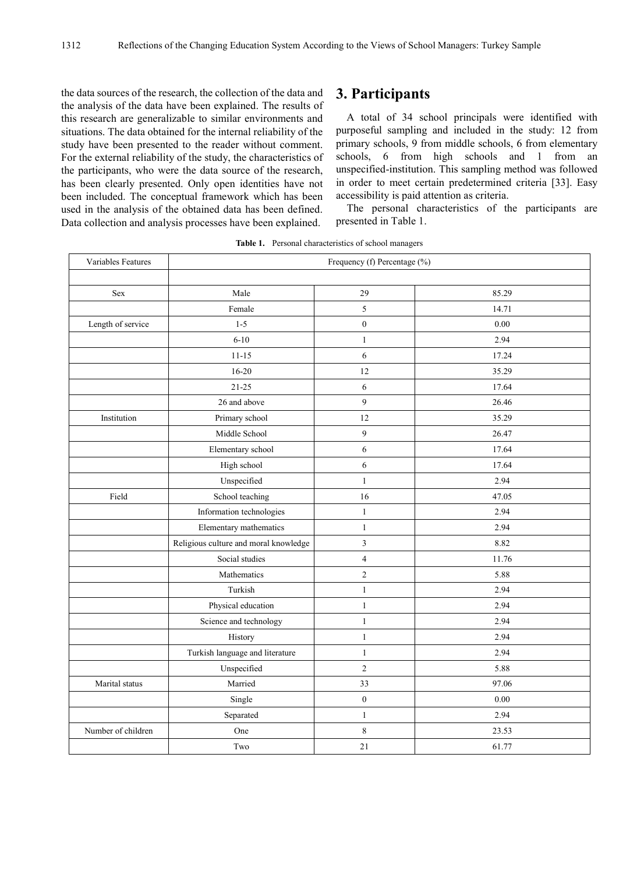the data sources of the research, the collection of the data and the analysis of the data have been explained. The results of this research are generalizable to similar environments and situations. The data obtained for the internal reliability of the study have been presented to the reader without comment. For the external reliability of the study, the characteristics of the participants, who were the data source of the research, has been clearly presented. Only open identities have not been included. The conceptual framework which has been used in the analysis of the obtained data has been defined. Data collection and analysis processes have been explained.

## **3. Participants**

A total of 34 school principals were identified with purposeful sampling and included in the study: 12 from primary schools, 9 from middle schools, 6 from elementary schools, 6 from high schools and 1 from an unspecified-institution. This sampling method was followed in order to meet certain predetermined criteria [33]. Easy accessibility is paid attention as criteria.

The personal characteristics of the participants are presented in Table 1.

| Variables Features | Frequency (f) Percentage (%)          |                         |       |  |
|--------------------|---------------------------------------|-------------------------|-------|--|
| Sex                | Male                                  | 29                      | 85.29 |  |
|                    | Female                                | 5                       | 14.71 |  |
| Length of service  | $1 - 5$                               | $\boldsymbol{0}$        | 0.00  |  |
|                    | $6 - 10$                              | $\mathbf{1}$            | 2.94  |  |
|                    | $11 - 15$                             | 6                       | 17.24 |  |
|                    | $16 - 20$                             | 12                      | 35.29 |  |
|                    | $21-25$                               | $\boldsymbol{6}$        | 17.64 |  |
|                    | 26 and above                          | 9                       | 26.46 |  |
| Institution        | Primary school                        | 12                      | 35.29 |  |
|                    | Middle School                         | $\overline{9}$          | 26.47 |  |
|                    | Elementary school                     | 6                       | 17.64 |  |
|                    | High school                           | $\boldsymbol{6}$        | 17.64 |  |
|                    | Unspecified                           | $\mathbf{1}$            | 2.94  |  |
| Field              | School teaching                       | 16                      | 47.05 |  |
|                    | Information technologies              | $\,1$                   | 2.94  |  |
|                    | Elementary mathematics                | $\mathbf{1}$            | 2.94  |  |
|                    | Religious culture and moral knowledge | 3                       | 8.82  |  |
|                    | Social studies                        | $\overline{\mathbf{4}}$ | 11.76 |  |
|                    | Mathematics                           | $\boldsymbol{2}$        | 5.88  |  |
|                    | Turkish                               | $\,1$                   | 2.94  |  |
|                    | Physical education                    | $\mathbf{1}$            | 2.94  |  |
|                    | Science and technology                | $\mathbf{1}$            | 2.94  |  |
|                    | History                               | $\mathbf{1}$            | 2.94  |  |
|                    | Turkish language and literature       | $\mathbf{1}$            | 2.94  |  |
|                    | Unspecified                           | $\overline{c}$          | 5.88  |  |
| Marital status     | Married                               | 33                      | 97.06 |  |
|                    | Single                                | $\boldsymbol{0}$        | 0.00  |  |
|                    | Separated                             | $\mathbf{1}$            | 2.94  |  |
| Number of children | One                                   | $\,$ 8 $\,$             | 23.53 |  |
|                    | Two                                   | 21                      | 61.77 |  |

**Table 1.** Personal characteristics of school managers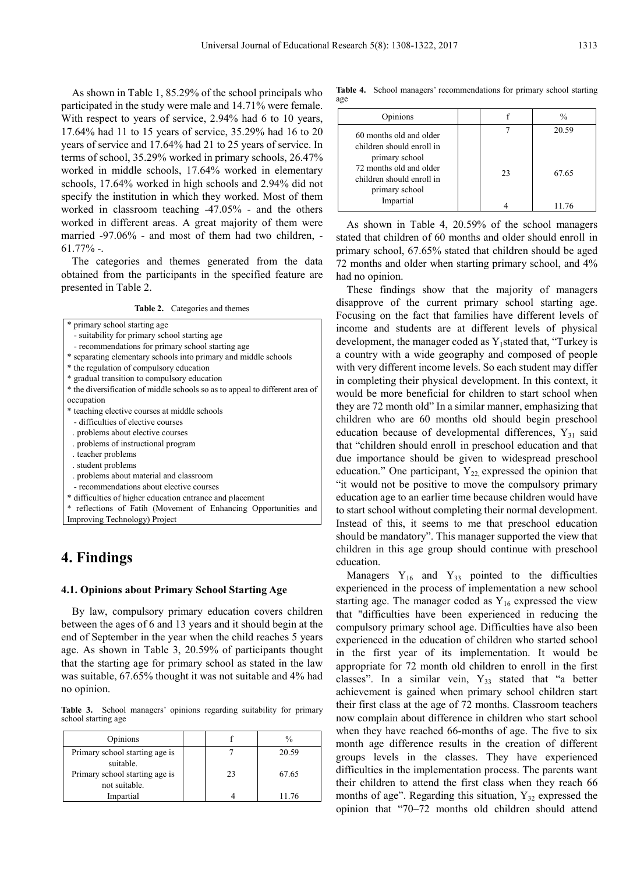As shown in Table 1, 85.29% of the school principals who participated in the study were male and 14.71% were female. With respect to years of service, 2.94% had 6 to 10 years, 17.64% had 11 to 15 years of service, 35.29% had 16 to 20 years of service and 17.64% had 21 to 25 years of service. In terms of school, 35.29% worked in primary schools, 26.47% worked in middle schools, 17.64% worked in elementary schools, 17.64% worked in high schools and 2.94% did not specify the institution in which they worked. Most of them worked in classroom teaching -47.05% - and the others worked in different areas. A great majority of them were married -97.06% - and most of them had two children, - 61.77% -.

The categories and themes generated from the data obtained from the participants in the specified feature are presented in Table 2.

**Table 2.** Categories and themes

| * primary school starting age                                                |
|------------------------------------------------------------------------------|
| - suitability for primary school starting age.                               |
| - recommendations for primary school starting age                            |
| * separating elementary schools into primary and middle schools              |
| * the regulation of compulsory education                                     |
| * gradual transition to compulsory education                                 |
| * the diversification of middle schools so as to appeal to different area of |
| occupation                                                                   |
| * teaching elective courses at middle schools                                |
| - difficulties of elective courses                                           |
| . problems about elective courses                                            |
| . problems of instructional program                                          |
| teacher problems                                                             |
| . student problems                                                           |
| . problems about material and classroom                                      |
| - recommendations about elective courses                                     |
| * difficulties of higher education entrance and placement                    |
| reflections of Fatih (Movement of Enhancing Opportunities and                |
| Improving Technology) Project                                                |

# **4. Findings**

#### **4.1. Opinions about Primary School Starting Age**

By law, compulsory primary education covers children between the ages of 6 and 13 years and it should begin at the end of September in the year when the child reaches 5 years age. As shown in Table 3, 20.59% of participants thought that the starting age for primary school as stated in the law was suitable, 67.65% thought it was not suitable and 4% had no opinion.

**Table 3.** School managers' opinions regarding suitability for primary school starting age

| Opinions                       |  |    | $\frac{0}{0}$ |
|--------------------------------|--|----|---------------|
| Primary school starting age is |  |    | 20.59         |
| suitable.                      |  |    |               |
| Primary school starting age is |  | 23 | 67.65         |
| not suitable.                  |  |    |               |
| Impartial                      |  |    | 11.76         |

**Table 4.** School managers' recommendations for primary school starting age

| Opinions                                                               |    | $\frac{0}{0}$ |
|------------------------------------------------------------------------|----|---------------|
| 60 months old and older<br>children should enroll in<br>primary school |    | 20.59         |
| 72 months old and older<br>children should enroll in<br>primary school | 23 | 67.65         |
| Impartial                                                              |    | 11.76         |

As shown in Table 4, 20.59% of the school managers stated that children of 60 months and older should enroll in primary school, 67.65% stated that children should be aged 72 months and older when starting primary school, and 4% had no opinion.

These findings show that the majority of managers disapprove of the current primary school starting age. Focusing on the fact that families have different levels of income and students are at different levels of physical development, the manager coded as  $Y_1$ stated that, "Turkey is a country with a wide geography and composed of people with very different income levels. So each student may differ in completing their physical development. In this context, it would be more beneficial for children to start school when they are 72 month old" In a similar manner, emphasizing that children who are 60 months old should begin preschool education because of developmental differences,  $Y_{31}$  said that "children should enroll in preschool education and that due importance should be given to widespread preschool education." One participant,  $Y_{22}$  expressed the opinion that "it would not be positive to move the compulsory primary education age to an earlier time because children would have to start school without completing their normal development. Instead of this, it seems to me that preschool education should be mandatory". This manager supported the view that children in this age group should continue with preschool education.

Managers  $Y_{16}$  and  $Y_{33}$  pointed to the difficulties experienced in the process of implementation a new school starting age. The manager coded as  $Y_{16}$  expressed the view that "difficulties have been experienced in reducing the compulsory primary school age. Difficulties have also been experienced in the education of children who started school in the first year of its implementation. It would be appropriate for 72 month old children to enroll in the first classes". In a similar vein,  $Y_{33}$  stated that "a better achievement is gained when primary school children start their first class at the age of 72 months. Classroom teachers now complain about difference in children who start school when they have reached 66-months of age. The five to six month age difference results in the creation of different groups levels in the classes. They have experienced difficulties in the implementation process. The parents want their children to attend the first class when they reach 66 months of age". Regarding this situation,  $Y_{32}$  expressed the opinion that "70–72 months old children should attend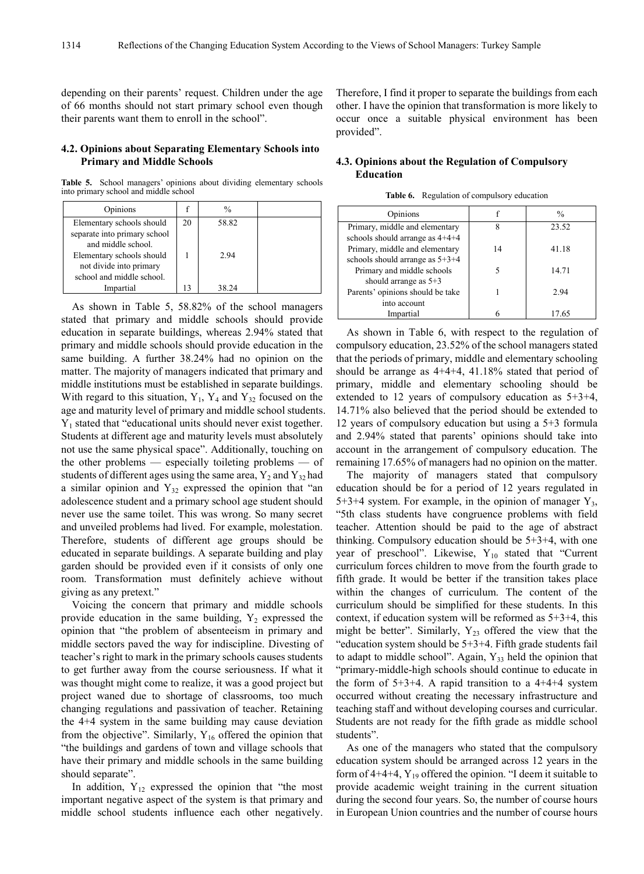depending on their parents' request. Children under the age of 66 months should not start primary school even though their parents want them to enroll in the school".

#### **4.2. Opinions about Separating Elementary Schools into Primary and Middle Schools**

**Table 5.** School managers' opinions about dividing elementary schools into primary school and middle school

| Opinions                     |    | $\frac{0}{0}$ |  |
|------------------------------|----|---------------|--|
| Elementary schools should    | 20 | 58.82         |  |
| separate into primary school |    |               |  |
| and middle school.           |    |               |  |
| Elementary schools should    |    | 2.94          |  |
| not divide into primary      |    |               |  |
| school and middle school.    |    |               |  |
| Impartial                    | 13 | 38.24         |  |

As shown in Table 5, 58.82% of the school managers stated that primary and middle schools should provide education in separate buildings, whereas 2.94% stated that primary and middle schools should provide education in the same building. A further 38.24% had no opinion on the matter. The majority of managers indicated that primary and middle institutions must be established in separate buildings. With regard to this situation,  $Y_1$ ,  $Y_4$  and  $Y_{32}$  focused on the age and maturity level of primary and middle school students.  $Y_1$  stated that "educational units should never exist together. Students at different age and maturity levels must absolutely not use the same physical space". Additionally, touching on the other problems — especially toileting problems — of students of different ages using the same area,  $Y_2$  and  $Y_{32}$  had a similar opinion and  $Y_{32}$  expressed the opinion that "an adolescence student and a primary school age student should never use the same toilet. This was wrong. So many secret and unveiled problems had lived. For example, molestation. Therefore, students of different age groups should be educated in separate buildings. A separate building and play garden should be provided even if it consists of only one room. Transformation must definitely achieve without giving as any pretext."

Voicing the concern that primary and middle schools provide education in the same building,  $Y_2$  expressed the opinion that "the problem of absenteeism in primary and middle sectors paved the way for indiscipline. Divesting of teacher's right to mark in the primary schools causes students to get further away from the course seriousness. If what it was thought might come to realize, it was a good project but project waned due to shortage of classrooms, too much changing regulations and passivation of teacher. Retaining the 4+4 system in the same building may cause deviation from the objective". Similarly,  $Y_{16}$  offered the opinion that "the buildings and gardens of town and village schools that have their primary and middle schools in the same building should separate".

In addition,  $Y_{12}$  expressed the opinion that "the most important negative aspect of the system is that primary and middle school students influence each other negatively.

Therefore, I find it proper to separate the buildings from each other. I have the opinion that transformation is more likely to occur once a suitable physical environment has been provided".

#### **4.3. Opinions about the Regulation of Compulsory Education**

**Table 6.** Regulation of compulsory education

| Opinions                          |    | $\frac{0}{0}$ |
|-----------------------------------|----|---------------|
| Primary, middle and elementary    | 8  | 23.52         |
| schools should arrange as $4+4+4$ |    |               |
| Primary, middle and elementary    | 14 | 41.18         |
| schools should arrange as $5+3+4$ |    |               |
| Primary and middle schools        |    | 14.71         |
| should arrange as $5+3$           |    |               |
| Parents' opinions should be take  |    | 2.94          |
| into account                      |    |               |
| Impartial                         |    | 17.65         |

As shown in Table 6, with respect to the regulation of compulsory education, 23.52% of the school managers stated that the periods of primary, middle and elementary schooling should be arrange as 4+4+4, 41.18% stated that period of primary, middle and elementary schooling should be extended to 12 years of compulsory education as 5+3+4, 14.71% also believed that the period should be extended to 12 years of compulsory education but using a 5+3 formula and 2.94% stated that parents' opinions should take into account in the arrangement of compulsory education. The remaining 17.65% of managers had no opinion on the matter.

The majority of managers stated that compulsory education should be for a period of 12 years regulated in 5+3+4 system. For example, in the opinion of manager  $Y_3$ , "5th class students have congruence problems with field teacher. Attention should be paid to the age of abstract thinking. Compulsory education should be 5+3+4, with one year of preschool". Likewise,  $Y_{10}$  stated that "Current" curriculum forces children to move from the fourth grade to fifth grade. It would be better if the transition takes place within the changes of curriculum. The content of the curriculum should be simplified for these students. In this context, if education system will be reformed as 5+3+4, this might be better". Similarly,  $Y_{23}$  offered the view that the "education system should be 5+3+4. Fifth grade students fail to adapt to middle school". Again,  $Y_{33}$  held the opinion that "primary-middle-high schools should continue to educate in the form of  $5+3+4$ . A rapid transition to a  $4+4+4$  system occurred without creating the necessary infrastructure and teaching staff and without developing courses and curricular. Students are not ready for the fifth grade as middle school students".

As one of the managers who stated that the compulsory education system should be arranged across 12 years in the form of  $4+4+4$ ,  $Y_{19}$  offered the opinion. "I deem it suitable to provide academic weight training in the current situation during the second four years. So, the number of course hours in European Union countries and the number of course hours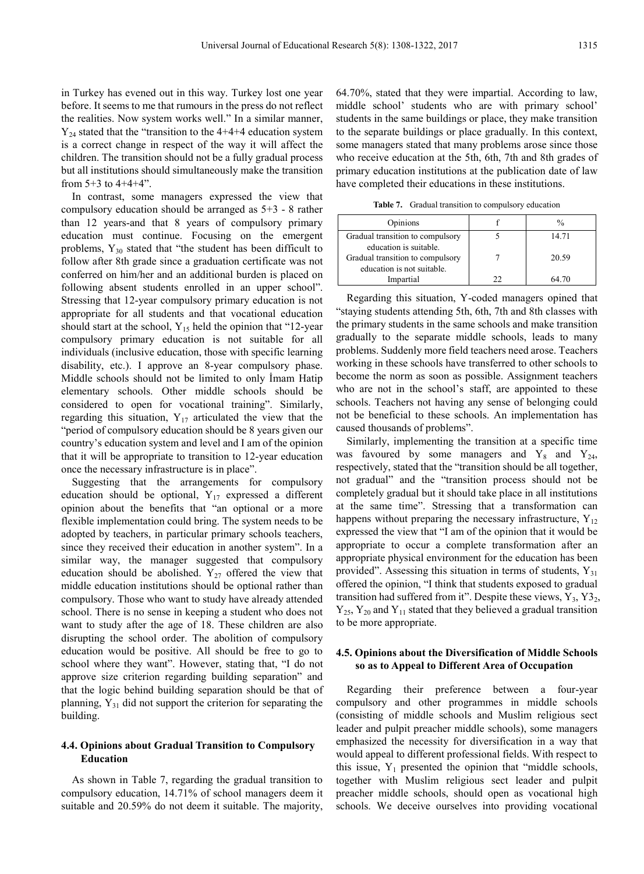in Turkey has evened out in this way. Turkey lost one year before. It seems to me that rumours in the press do not reflect the realities. Now system works well." In a similar manner,  $Y_{24}$  stated that the "transition to the 4+4+4 education system is a correct change in respect of the way it will affect the children. The transition should not be a fully gradual process but all institutions should simultaneously make the transition from  $5+3$  to  $4+4+4$ ".

In contrast, some managers expressed the view that compulsory education should be arranged as 5+3 - 8 rather than 12 years-and that 8 years of compulsory primary education must continue. Focusing on the emergent problems,  $Y_{30}$  stated that "the student has been difficult to follow after 8th grade since a graduation certificate was not conferred on him/her and an additional burden is placed on following absent students enrolled in an upper school". Stressing that 12-year compulsory primary education is not appropriate for all students and that vocational education should start at the school,  $Y_{15}$  held the opinion that "12-year" compulsory primary education is not suitable for all individuals (inclusive education, those with specific learning disability, etc.). I approve an 8-year compulsory phase. Middle schools should not be limited to only İmam Hatip elementary schools. Other middle schools should be considered to open for vocational training". Similarly, regarding this situation,  $Y_{17}$  articulated the view that the "period of compulsory education should be 8 years given our country's education system and level and I am of the opinion that it will be appropriate to transition to 12-year education once the necessary infrastructure is in place".

Suggesting that the arrangements for compulsory education should be optional,  $Y_{17}$  expressed a different opinion about the benefits that "an optional or a more flexible implementation could bring. The system needs to be adopted by teachers, in particular primary schools teachers, since they received their education in another system". In a similar way, the manager suggested that compulsory education should be abolished.  $Y_{27}$  offered the view that middle education institutions should be optional rather than compulsory. Those who want to study have already attended school. There is no sense in keeping a student who does not want to study after the age of 18. These children are also disrupting the school order. The abolition of compulsory education would be positive. All should be free to go to school where they want". However, stating that, "I do not approve size criterion regarding building separation" and that the logic behind building separation should be that of planning,  $Y_{31}$  did not support the criterion for separating the building.

#### **4.4. Opinions about Gradual Transition to Compulsory Education**

As shown in Table 7, regarding the gradual transition to compulsory education, 14.71% of school managers deem it suitable and 20.59% do not deem it suitable. The majority,

64.70%, stated that they were impartial. According to law, middle school' students who are with primary school' students in the same buildings or place, they make transition to the separate buildings or place gradually. In this context, some managers stated that many problems arose since those who receive education at the 5th, 6th, 7th and 8th grades of primary education institutions at the publication date of law have completed their educations in these institutions.

**Table 7.** Gradual transition to compulsory education

| Opinions                                                   |    | $\frac{0}{0}$ |
|------------------------------------------------------------|----|---------------|
| Gradual transition to compulsory                           |    | 14.71         |
| education is suitable.<br>Gradual transition to compulsory |    | 20.59         |
| education is not suitable.                                 |    |               |
| Impartial                                                  | າາ | 64 70         |

Regarding this situation, Y-coded managers opined that "staying students attending 5th, 6th, 7th and 8th classes with the primary students in the same schools and make transition gradually to the separate middle schools, leads to many problems. Suddenly more field teachers need arose. Teachers working in these schools have transferred to other schools to become the norm as soon as possible. Assignment teachers who are not in the school's staff, are appointed to these schools. Teachers not having any sense of belonging could not be beneficial to these schools. An implementation has caused thousands of problems".

Similarly, implementing the transition at a specific time was favoured by some managers and  $Y_8$  and  $Y_{24}$ , respectively, stated that the "transition should be all together, not gradual" and the "transition process should not be completely gradual but it should take place in all institutions at the same time". Stressing that a transformation can happens without preparing the necessary infrastructure,  $Y_{12}$ expressed the view that "I am of the opinion that it would be appropriate to occur a complete transformation after an appropriate physical environment for the education has been provided". Assessing this situation in terms of students,  $Y_{31}$ offered the opinion, "I think that students exposed to gradual transition had suffered from it". Despite these views,  $Y_3$ ,  $Y3_2$ ,  $Y_{25}$ ,  $Y_{20}$  and  $Y_{11}$  stated that they believed a gradual transition to be more appropriate.

#### **4.5. Opinions about the Diversification of Middle Schools so as to Appeal to Different Area of Occupation**

Regarding their preference between a four-year compulsory and other programmes in middle schools (consisting of middle schools and Muslim religious sect leader and pulpit preacher middle schools), some managers emphasized the necessity for diversification in a way that would appeal to different professional fields. With respect to this issue,  $Y_1$  presented the opinion that "middle schools, together with Muslim religious sect leader and pulpit preacher middle schools, should open as vocational high schools. We deceive ourselves into providing vocational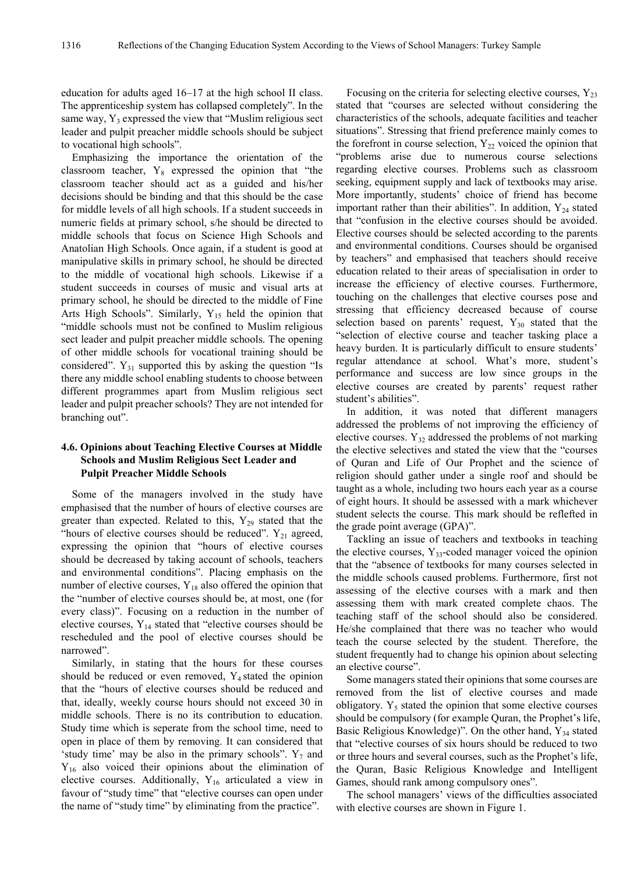education for adults aged 16–17 at the high school II class. The apprenticeship system has collapsed completely". In the same way,  $Y_3$  expressed the view that "Muslim religious sect leader and pulpit preacher middle schools should be subject to vocational high schools".

Emphasizing the importance the orientation of the classroom teacher,  $Y_8$  expressed the opinion that "the classroom teacher should act as a guided and his/her decisions should be binding and that this should be the case for middle levels of all high schools. If a student succeeds in numeric fields at primary school, s/he should be directed to middle schools that focus on Science High Schools and Anatolian High Schools. Once again, if a student is good at manipulative skills in primary school, he should be directed to the middle of vocational high schools. Likewise if a student succeeds in courses of music and visual arts at primary school, he should be directed to the middle of Fine Arts High Schools". Similarly,  $Y_{15}$  held the opinion that "middle schools must not be confined to Muslim religious sect leader and pulpit preacher middle schools. The opening of other middle schools for vocational training should be considered".  $Y_{31}$  supported this by asking the question "Is there any middle school enabling students to choose between different programmes apart from Muslim religious sect leader and pulpit preacher schools? They are not intended for branching out".

#### **4.6. Opinions about Teaching Elective Courses at Middle Schools and Muslim Religious Sect Leader and Pulpit Preacher Middle Schools**

Some of the managers involved in the study have emphasised that the number of hours of elective courses are greater than expected. Related to this,  $Y_{29}$  stated that the "hours of elective courses should be reduced".  $Y_{21}$  agreed, expressing the opinion that "hours of elective courses should be decreased by taking account of schools, teachers and environmental conditions". Placing emphasis on the number of elective courses,  $Y_{18}$  also offered the opinion that the "number of elective courses should be, at most, one (for every class)". Focusing on a reduction in the number of elective courses,  $Y_{14}$  stated that "elective courses should be rescheduled and the pool of elective courses should be narrowed".

Similarly, in stating that the hours for these courses should be reduced or even removed,  $Y_4$  stated the opinion that the "hours of elective courses should be reduced and that, ideally, weekly course hours should not exceed 30 in middle schools. There is no its contribution to education. Study time which is seperate from the school time, need to open in place of them by removing. It can considered that 'study time' may be also in the primary schools".  $Y_7$  and  $Y_{16}$  also voiced their opinions about the elimination of elective courses. Additionally,  $Y_{16}$  articulated a view in favour of "study time" that "elective courses can open under the name of "study time" by eliminating from the practice".

Focusing on the criteria for selecting elective courses,  $Y_{23}$ stated that "courses are selected without considering the characteristics of the schools, adequate facilities and teacher situations". Stressing that friend preference mainly comes to the forefront in course selection,  $Y_{22}$  voiced the opinion that "problems arise due to numerous course selections regarding elective courses. Problems such as classroom seeking, equipment supply and lack of textbooks may arise. More importantly, students' choice of friend has become important rather than their abilities". In addition,  $Y_{24}$  stated that "confusion in the elective courses should be avoided. Elective courses should be selected according to the parents and environmental conditions. Courses should be organised by teachers" and emphasised that teachers should receive education related to their areas of specialisation in order to increase the efficiency of elective courses. Furthermore, touching on the challenges that elective courses pose and stressing that efficiency decreased because of course selection based on parents' request,  $Y_{30}$  stated that the "selection of elective course and teacher tasking place a heavy burden. It is particularly difficult to ensure students' regular attendance at school. What's more, student's performance and success are low since groups in the elective courses are created by parents' request rather student's abilities".

In addition, it was noted that different managers addressed the problems of not improving the efficiency of elective courses.  $Y_{32}$  addressed the problems of not marking the elective selectives and stated the view that the "courses of Quran and Life of Our Prophet and the science of religion should gather under a single roof and should be taught as a whole, including two hours each year as a course of eight hours. It should be assessed with a mark whichever student selects the course. This mark should be reflefted in the grade point average (GPA)".

Tackling an issue of teachers and textbooks in teaching the elective courses,  $Y_{33}$ -coded manager voiced the opinion that the "absence of textbooks for many courses selected in the middle schools caused problems. Furthermore, first not assessing of the elective courses with a mark and then assessing them with mark created complete chaos. The teaching staff of the school should also be considered. He/she complained that there was no teacher who would teach the course selected by the student. Therefore, the student frequently had to change his opinion about selecting an elective course".

Some managers stated their opinions that some courses are removed from the list of elective courses and made obligatory.  $Y_5$  stated the opinion that some elective courses should be compulsory (for example Quran, the Prophet's life, Basic Religious Knowledge)". On the other hand,  $Y_{34}$  stated that "elective courses of six hours should be reduced to two or three hours and several courses, such as the Prophet's life, the Quran, Basic Religious Knowledge and Intelligent Games, should rank among compulsory ones".

The school managers' views of the difficulties associated with elective courses are shown in Figure 1.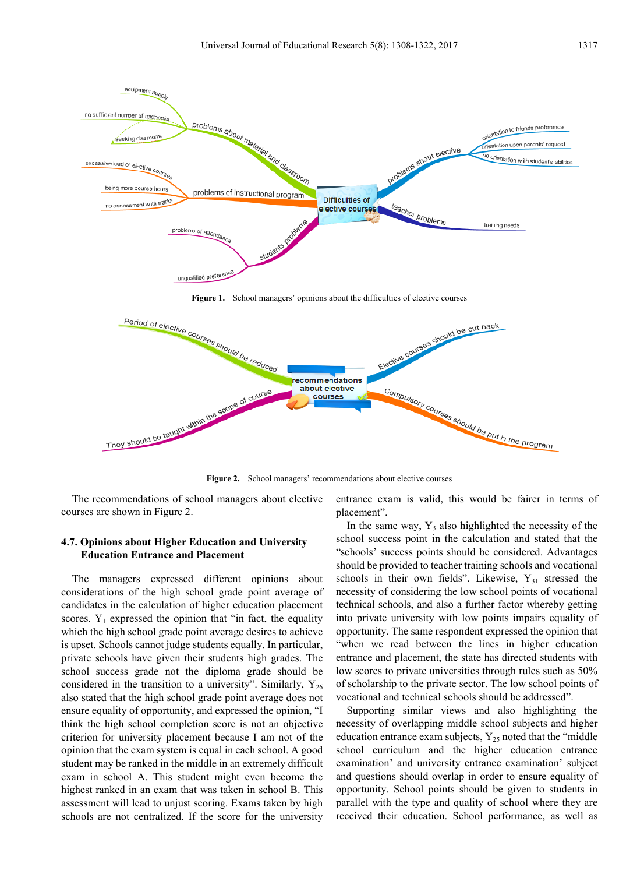

**Figure 2.** School managers' recommendations about elective courses

The recommendations of school managers about elective courses are shown in Figure 2.

#### **4.7. Opinions about Higher Education and University Education Entrance and Placement**

The managers expressed different opinions about considerations of the high school grade point average of candidates in the calculation of higher education placement scores.  $Y_1$  expressed the opinion that "in fact, the equality which the high school grade point average desires to achieve is upset. Schools cannot judge students equally. In particular, private schools have given their students high grades. The school success grade not the diploma grade should be considered in the transition to a university". Similarly,  $Y_{26}$ also stated that the high school grade point average does not ensure equality of opportunity, and expressed the opinion, "I think the high school completion score is not an objective criterion for university placement because I am not of the opinion that the exam system is equal in each school. A good student may be ranked in the middle in an extremely difficult exam in school A. This student might even become the highest ranked in an exam that was taken in school B. This assessment will lead to unjust scoring. Exams taken by high schools are not centralized. If the score for the university

entrance exam is valid, this would be fairer in terms of placement".

In the same way,  $Y_3$  also highlighted the necessity of the school success point in the calculation and stated that the "schools' success points should be considered. Advantages should be provided to teacher training schools and vocational schools in their own fields". Likewise,  $Y_{31}$  stressed the necessity of considering the low school points of vocational technical schools, and also a further factor whereby getting into private university with low points impairs equality of opportunity. The same respondent expressed the opinion that "when we read between the lines in higher education entrance and placement, the state has directed students with low scores to private universities through rules such as 50% of scholarship to the private sector. The low school points of vocational and technical schools should be addressed".

Supporting similar views and also highlighting the necessity of overlapping middle school subjects and higher education entrance exam subjects,  $Y_{25}$  noted that the "middle" school curriculum and the higher education entrance examination' and university entrance examination' subject and questions should overlap in order to ensure equality of opportunity. School points should be given to students in parallel with the type and quality of school where they are received their education. School performance, as well as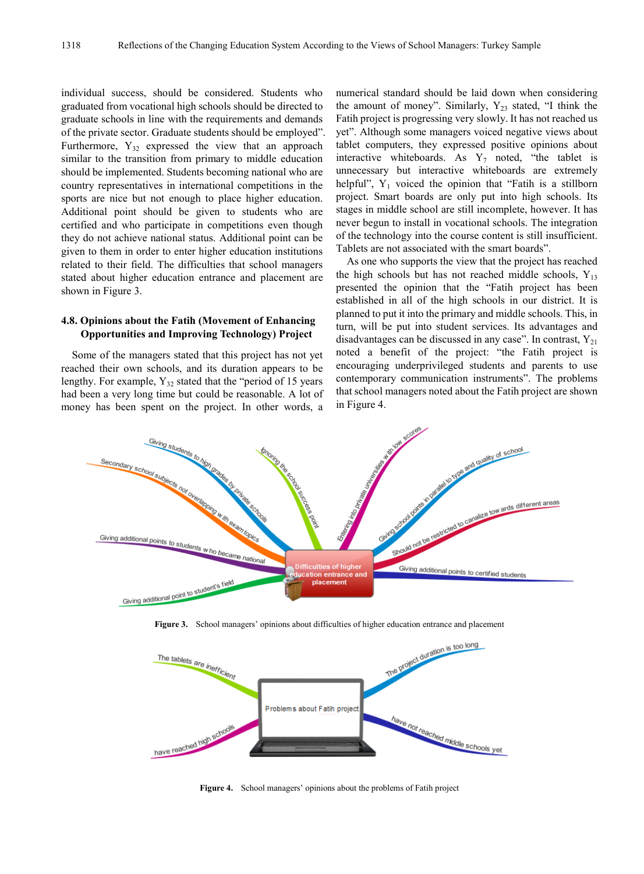individual success, should be considered. Students who graduated from vocational high schools should be directed to graduate schools in line with the requirements and demands of the private sector. Graduate students should be employed". Furthermore,  $Y_{32}$  expressed the view that an approach similar to the transition from primary to middle education should be implemented. Students becoming national who are country representatives in international competitions in the sports are nice but not enough to place higher education. Additional point should be given to students who are certified and who participate in competitions even though they do not achieve national status. Additional point can be given to them in order to enter higher education institutions related to their field. The difficulties that school managers stated about higher education entrance and placement are shown in Figure 3.

#### **4.8. Opinions about the Fatih (Movement of Enhancing Opportunities and Improving Technology) Project**

Some of the managers stated that this project has not yet reached their own schools, and its duration appears to be lengthy. For example,  $Y_{32}$  stated that the "period of 15 years" had been a very long time but could be reasonable. A lot of money has been spent on the project. In other words, a numerical standard should be laid down when considering the amount of money". Similarly,  $Y_{23}$  stated, "I think the Fatih project is progressing very slowly. It has not reached us yet". Although some managers voiced negative views about tablet computers, they expressed positive opinions about interactive whiteboards. As  $Y_7$  noted, "the tablet is unnecessary but interactive whiteboards are extremely helpful",  $Y_1$  voiced the opinion that "Fatih is a stillborn project. Smart boards are only put into high schools. Its stages in middle school are still incomplete, however. It has never begun to install in vocational schools. The integration of the technology into the course content is still insufficient. Tablets are not associated with the smart boards".

As one who supports the view that the project has reached the high schools but has not reached middle schools,  $Y_{13}$ presented the opinion that the "Fatih project has been established in all of the high schools in our district. It is planned to put it into the primary and middle schools. This, in turn, will be put into student services. Its advantages and disadvantages can be discussed in any case". In contrast,  $Y_{21}$ noted a benefit of the project: "the Fatih project is encouraging underprivileged students and parents to use contemporary communication instruments". The problems that school managers noted about the Fatih project are shown in Figure 4.



**Figure 3.** School managers' opinions about difficulties of higher education entrance and placement



**Figure 4.** School managers' opinions about the problems of Fatih project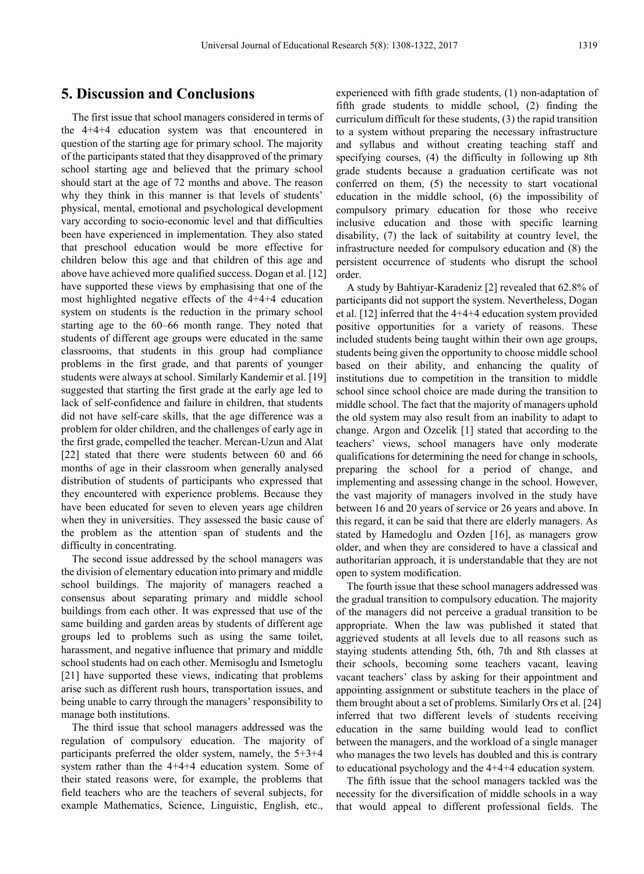# **5. Discussion and Conclusions**

The first issue that school managers considered in terms of the 4+4+4 education system was that encountered in question of the starting age for primary school. The majority of the participants stated that they disapproved of the primary school starting age and believed that the primary school should start at the age of 72 months and above. The reason why they think in this manner is that levels of students' physical, mental, emotional and psychological development vary according to socio-economic level and that difficulties been have experienced in implementation. They also stated that preschool education would be more effective for children below this age and that children of this age and above have achieved more qualified success. Dogan et al. [12] have supported these views by emphasising that one of the most highlighted negative effects of the 4+4+4 education system on students is the reduction in the primary school starting age to the 60–66 month range. They noted that students of different age groups were educated in the same classrooms, that students in this group had compliance problems in the first grade, and that parents of younger students were always at school. Similarly Kandemir et al. [19] suggested that starting the first grade at the early age led to lack of self-confidence and failure in children, that students did not have self-care skills, that the age difference was a problem for older children, and the challenges of early age in the first grade, compelled the teacher. Mercan-Uzun and Alat [22] stated that there were students between 60 and 66 months of age in their classroom when generally analysed distribution of students of participants who expressed that they encountered with experience problems. Because they have been educated for seven to eleven years age children when they in universities. They assessed the basic cause of the problem as the attention span of students and the difficulty in concentrating.

The second issue addressed by the school managers was the division of elementary education into primary and middle school buildings. The majority of managers reached a consensus about separating primary and middle school buildings from each other. It was expressed that use of the same building and garden areas by students of different age groups led to problems such as using the same toilet, harassment, and negative influence that primary and middle school students had on each other. Memisoglu and Ismetoglu [21] have supported these views, indicating that problems arise such as different rush hours, transportation issues, and being unable to carry through the managers' responsibility to manage both institutions.

The third issue that school managers addressed was the regulation of compulsory education. The majority of participants preferred the older system, namely, the 5+3+4 system rather than the 4+4+4 education system. Some of their stated reasons were, for example, the problems that field teachers who are the teachers of several subjects, for example Mathematics, Science, Linguistic, English, etc.,

experienced with fifth grade students, (1) non-adaptation of fifth grade students to middle school, (2) finding the curriculum difficult for these students, (3) the rapid transition to a system without preparing the necessary infrastructure and syllabus and without creating teaching staff and specifying courses, (4) the difficulty in following up 8th grade students because a graduation certificate was not conferred on them, (5) the necessity to start vocational education in the middle school, (6) the impossibility of compulsory primary education for those who receive inclusive education and those with specific learning disability, (7) the lack of suitability at country level, the infrastructure needed for compulsory education and (8) the persistent occurrence of students who disrupt the school order.

A study by Bahtiyar-Karadeniz [2] revealed that 62.8% of participants did not support the system. Nevertheless, Dogan et al. [12] inferred that the 4+4+4 education system provided positive opportunities for a variety of reasons. These included students being taught within their own age groups, students being given the opportunity to choose middle school based on their ability, and enhancing the quality of institutions due to competition in the transition to middle school since school choice are made during the transition to middle school. The fact that the majority of managers uphold the old system may also result from an inability to adapt to change. Argon and Ozcelik [1] stated that according to the teachers' views, school managers have only moderate qualifications for determining the need for change in schools, preparing the school for a period of change, and implementing and assessing change in the school. However, the vast majority of managers involved in the study have between 16 and 20 years of service or 26 years and above. In this regard, it can be said that there are elderly managers. As stated by Hamedoglu and Ozden [16], as managers grow older, and when they are considered to have a classical and authoritarian approach, it is understandable that they are not open to system modification.

The fourth issue that these school managers addressed was the gradual transition to compulsory education. The majority of the managers did not perceive a gradual transition to be appropriate. When the law was published it stated that aggrieved students at all levels due to all reasons such as staying students attending 5th, 6th, 7th and 8th classes at their schools, becoming some teachers vacant, leaving vacant teachers' class by asking for their appointment and appointing assignment or substitute teachers in the place of them brought about a set of problems. Similarly Ors et al. [24] inferred that two different levels of students receiving education in the same building would lead to conflict between the managers, and the workload of a single manager who manages the two levels has doubled and this is contrary to educational psychology and the 4+4+4 education system.

The fifth issue that the school managers tackled was the necessity for the diversification of middle schools in a way that would appeal to different professional fields. The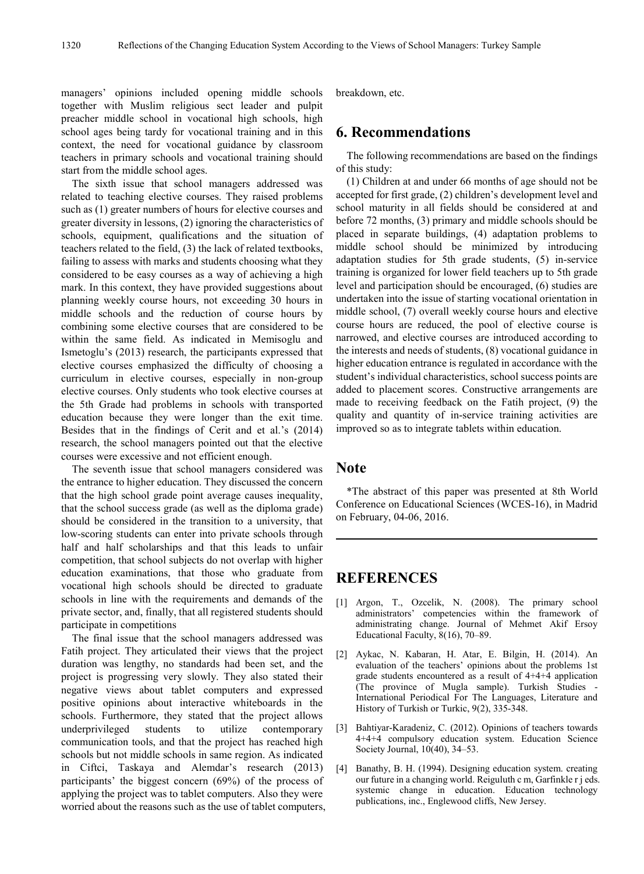managers' opinions included opening middle schools together with Muslim religious sect leader and pulpit preacher middle school in vocational high schools, high school ages being tardy for vocational training and in this context, the need for vocational guidance by classroom teachers in primary schools and vocational training should start from the middle school ages.

The sixth issue that school managers addressed was related to teaching elective courses. They raised problems such as (1) greater numbers of hours for elective courses and greater diversity in lessons, (2) ignoring the characteristics of schools, equipment, qualifications and the situation of teachers related to the field, (3) the lack of related textbooks, failing to assess with marks and students choosing what they considered to be easy courses as a way of achieving a high mark. In this context, they have provided suggestions about planning weekly course hours, not exceeding 30 hours in middle schools and the reduction of course hours by combining some elective courses that are considered to be within the same field. As indicated in Memisoglu and Ismetoglu's (2013) research, the participants expressed that elective courses emphasized the difficulty of choosing a curriculum in elective courses, especially in non-group elective courses. Only students who took elective courses at the 5th Grade had problems in schools with transported education because they were longer than the exit time. Besides that in the findings of Cerit and et al.'s (2014) research, the school managers pointed out that the elective courses were excessive and not efficient enough.

The seventh issue that school managers considered was the entrance to higher education. They discussed the concern that the high school grade point average causes inequality, that the school success grade (as well as the diploma grade) should be considered in the transition to a university, that low-scoring students can enter into private schools through half and half scholarships and that this leads to unfair competition, that school subjects do not overlap with higher education examinations, that those who graduate from vocational high schools should be directed to graduate schools in line with the requirements and demands of the private sector, and, finally, that all registered students should participate in competitions

The final issue that the school managers addressed was Fatih project. They articulated their views that the project duration was lengthy, no standards had been set, and the project is progressing very slowly. They also stated their negative views about tablet computers and expressed positive opinions about interactive whiteboards in the schools. Furthermore, they stated that the project allows underprivileged students to utilize contemporary communication tools, and that the project has reached high schools but not middle schools in same region. As indicated in Ciftci, Taskaya and Alemdar's research (2013) participants' the biggest concern (69%) of the process of applying the project was to tablet computers. Also they were worried about the reasons such as the use of tablet computers, breakdown, etc.

# **6. Recommendations**

The following recommendations are based on the findings of this study:

(1) Children at and under 66 months of age should not be accepted for first grade, (2) children's development level and school maturity in all fields should be considered at and before 72 months, (3) primary and middle schools should be placed in separate buildings, (4) adaptation problems to middle school should be minimized by introducing adaptation studies for 5th grade students, (5) in-service training is organized for lower field teachers up to 5th grade level and participation should be encouraged, (6) studies are undertaken into the issue of starting vocational orientation in middle school, (7) overall weekly course hours and elective course hours are reduced, the pool of elective course is narrowed, and elective courses are introduced according to the interests and needs of students, (8) vocational guidance in higher education entrance is regulated in accordance with the student's individual characteristics, school success points are added to placement scores. Constructive arrangements are made to receiving feedback on the Fatih project, (9) the quality and quantity of in-service training activities are improved so as to integrate tablets within education.

## **Note**

\*The abstract of this paper was presented at 8th World Conference on Educational Sciences (WCES-16), in Madrid on February, 04-06, 2016.

## **REFERENCES**

- [1] Argon, T., Ozcelik, N. (2008). The primary school administrators' competencies within the framework of administrating change. Journal of Mehmet Akif Ersoy Educational Faculty, 8(16), 70–89.
- [2] Aykac, N. Kabaran, H. Atar, E. Bilgin, H. (2014). An evaluation of the teachers' opinions about the problems 1st grade students encountered as a result of 4+4+4 application (The province of Mugla sample). Turkish Studies International Periodical For The Languages, Literature and History of Turkish or Turkic, 9(2), 335-348.
- [3] Bahtiyar-Karadeniz, C. (2012). Opinions of teachers towards 4+4+4 compulsory education system. Education Science Society Journal, 10(40), 34–53.
- [4] Banathy, B. H. (1994). Designing education system. creating our future in a changing world. Reiguluth c m, Garfinkle r j eds. systemic change in education. Education technology publications, inc., Englewood cliffs, New Jersey.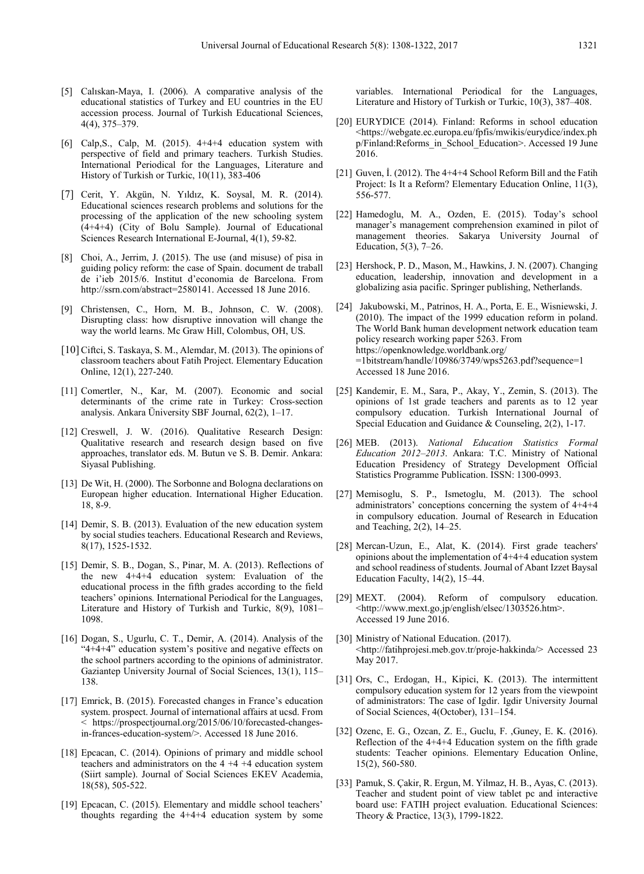- [5] Calıskan-Maya, I. (2006). A comparative analysis of the educational statistics of Turkey and EU countries in the EU accession process. Journal of Turkish Educational Sciences, 4(4), 375–379.
- [6] Calp, S., Calp, M.  $(2015)$ , 4+4+4 education system with perspective of field and primary teachers. Turkish Studies. International Periodical for the Languages, Literature and History of Turkish or Turkic, 10(11), 383-406
- [7] Cerit, Y. Akgün, N. Yıldız, K. Soysal, M. R. (2014). Educational sciences research problems and solutions for the processing of the application of the new schooling system  $(4+4+4)$  (City of Bolu Sample). Journal of Educational Sciences Research International E-Journal, 4(1), 59-82.
- [8] Choi, A., Jerrim, J. (2015). The use (and misuse) of pisa in guiding policy reform: the case of Spain. document de traball de i'ieb 2015/6. Institut d'economia de Barcelona. From http://ssrn.com/abstract=2580141. Accessed 18 June 2016.
- [9] Christensen, C., Horn, M. B., Johnson, C. W. (2008). Disrupting class: how disruptive innovation will change the way the world learns. Mc Graw Hill, Colombus, OH, US.
- [10] Ciftci, S. Taskaya, S. M., Alemdar, M. (2013). The opinions of classroom teachers about Fatih Project. Elementary Education Online, 12(1), 227-240.
- [11] Comertler, N., Kar, M. (2007). Economic and social determinants of the crime rate in Turkey: Cross-section analysis. Ankara Üniversity SBF Journal, 62(2), 1–17.
- [12] Creswell, J. W. (2016). Qualitative Research Design: Qualitative research and research design based on five approaches, translator eds. M. Butun ve S. B. Demir. Ankara: Siyasal Publishing.
- [13] De Wit, H. (2000). The Sorbonne and Bologna declarations on European higher education. International Higher Education. 18, 8-9.
- [14] Demir, S. B. (2013). Evaluation of the new education system by social studies teachers. Educational Research and Reviews, 8(17), 1525-1532.
- [15] Demir, S. B., Dogan, S., Pinar, M. A. (2013). Reflections of the new 4+4+4 education system: Evaluation of the educational process in the fifth grades according to the field teachers' opinions*.* International Periodical for the Languages, Literature and History of Turkish and Turkic, 8(9), 1081– 1098.
- [16] Dogan, S., Ugurlu, C. T., Demir, A. (2014). Analysis of the "4+4+4" education system's positive and negative effects on the school partners according to the opinions of administrator. Gaziantep University Journal of Social Sciences, 13(1), 115– 138.
- [17] Emrick, B. (2015). Forecasted changes in France's education system. prospect. Journal of international affairs at ucsd. From < https://prospectjournal.org/2015/06/10/forecasted-changesin-frances-education-system/>. Accessed 18 June 2016.
- [18] Epcacan, C. (2014). Opinions of primary and middle school teachers and administrators on the  $4 +4 +4$  education system (Siirt sample). Journal of Social Sciences EKEV Academia, 18(58), 505-522.
- [19] Epcacan, C. (2015). Elementary and middle school teachers' thoughts regarding the 4+4+4 education system by some

variables. International Periodical for the Languages, Literature and History of Turkish or Turkic, 10(3), 387–408.

- [20] EURYDICE (2014). Finland: Reforms in school education <https://webgate.ec.europa.eu/fpfis/mwikis/eurydice/index.ph p/Finland:Reforms\_in\_School\_Education>. Accessed 19 June 2016.
- [21] Guven, İ. (2012). The 4+4+4 School Reform Bill and the Fatih Project: Is It a Reform? Elementary Education Online, 11(3), 556-577.
- [22] Hamedoglu, M. A., Ozden, E. (2015). Today's school manager's management comprehension examined in pilot of management theories. Sakarya University Journal of Education, 5(3), 7–26.
- [23] Hershock, P. D., Mason, M., Hawkins, J. N. (2007). Changing education, leadership, innovation and development in a globalizing asia pacific. Springer publishing, Netherlands.
- [24] Jakubowski, M., Patrinos, H. A., Porta, E. E., Wisniewski, J. (2010). The impact of the 1999 education reform in poland. The World Bank human development network education team policy research working paper 5263. From https://openknowledge.worldbank.org/ =1bitstream/handle/10986/3749/wps5263.pdf?sequence=1 Accessed 18 June 2016.
- [25] Kandemir, E. M., Sara, P., Akay, Y., Zemin, S. (2013). The opinions of 1st grade teachers and parents as to 12 year compulsory education. Turkish International Journal of Special Education and Guidance & Counseling, 2(2), 1-17.
- [26] MEB. (2013). *National Education Statistics Formal Education 2012–2013*. Ankara: T.C. Ministry of National Education Presidency of Strategy Development Official Statistics Programme Publication. ISSN: 1300-0993.
- [27] Memisoglu, S. P., Ismetoglu, M. (2013). The school administrators' conceptions concerning the system of 4+4+4 in compulsory education. Journal of Research in Education and Teaching, 2(2), 14–25.
- [28] Mercan-Uzun, E., Alat, K. (2014). First grade teachers' opinions about the implementation of 4+4+4 education system and school readiness of students. Journal of Abant Izzet Baysal Education Faculty, 14(2), 15–44.
- [29] MEXT. (2004). Reform of compulsory education. <http://www.mext.go.jp/english/elsec/1303526.htm>. Accessed 19 June 2016.
- [30] Ministry of National Education. (2017). <http://fatihprojesi.meb.gov.tr/proje-hakkinda/> Accessed 23 May 2017.
- [31] Ors, C., Erdogan, H., Kipici, K. (2013). The intermittent compulsory education system for 12 years from the viewpoint of administrators: The case of Igdir. Igdir University Journal of Social Sciences, 4(October), 131–154.
- [32] Ozenc, E. G., Ozcan, Z. E., Guclu, F. ,Guney, E. K. (2016). Reflection of the 4+4+4 Education system on the fifth grade students: Teacher opinions. Elementary Education Online, 15(2), 560-580.
- [33] Pamuk, S. Çakir, R. Ergun, M. Yilmaz, H. B., Ayas, C. (2013). Teacher and student point of view tablet pc and interactive board use: FATIH project evaluation. Educational Sciences: Theory & Practice, 13(3), 1799-1822.